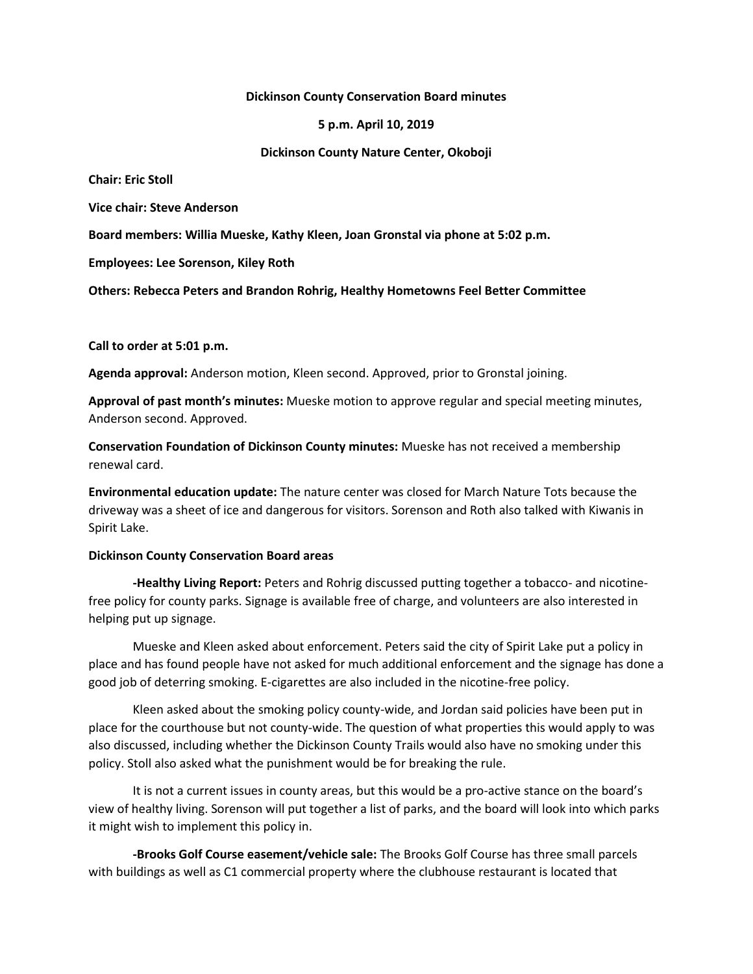#### **Dickinson County Conservation Board minutes**

**5 p.m. April 10, 2019**

**Dickinson County Nature Center, Okoboji**

**Chair: Eric Stoll**

**Vice chair: Steve Anderson**

**Board members: Willia Mueske, Kathy Kleen, Joan Gronstal via phone at 5:02 p.m.**

**Employees: Lee Sorenson, Kiley Roth**

**Others: Rebecca Peters and Brandon Rohrig, Healthy Hometowns Feel Better Committee**

**Call to order at 5:01 p.m.**

**Agenda approval:** Anderson motion, Kleen second. Approved, prior to Gronstal joining.

**Approval of past month's minutes:** Mueske motion to approve regular and special meeting minutes, Anderson second. Approved.

**Conservation Foundation of Dickinson County minutes:** Mueske has not received a membership renewal card.

**Environmental education update:** The nature center was closed for March Nature Tots because the driveway was a sheet of ice and dangerous for visitors. Sorenson and Roth also talked with Kiwanis in Spirit Lake.

### **Dickinson County Conservation Board areas**

**-Healthy Living Report:** Peters and Rohrig discussed putting together a tobacco- and nicotinefree policy for county parks. Signage is available free of charge, and volunteers are also interested in helping put up signage.

Mueske and Kleen asked about enforcement. Peters said the city of Spirit Lake put a policy in place and has found people have not asked for much additional enforcement and the signage has done a good job of deterring smoking. E-cigarettes are also included in the nicotine-free policy.

Kleen asked about the smoking policy county-wide, and Jordan said policies have been put in place for the courthouse but not county-wide. The question of what properties this would apply to was also discussed, including whether the Dickinson County Trails would also have no smoking under this policy. Stoll also asked what the punishment would be for breaking the rule.

It is not a current issues in county areas, but this would be a pro-active stance on the board's view of healthy living. Sorenson will put together a list of parks, and the board will look into which parks it might wish to implement this policy in.

**-Brooks Golf Course easement/vehicle sale:** The Brooks Golf Course has three small parcels with buildings as well as C1 commercial property where the clubhouse restaurant is located that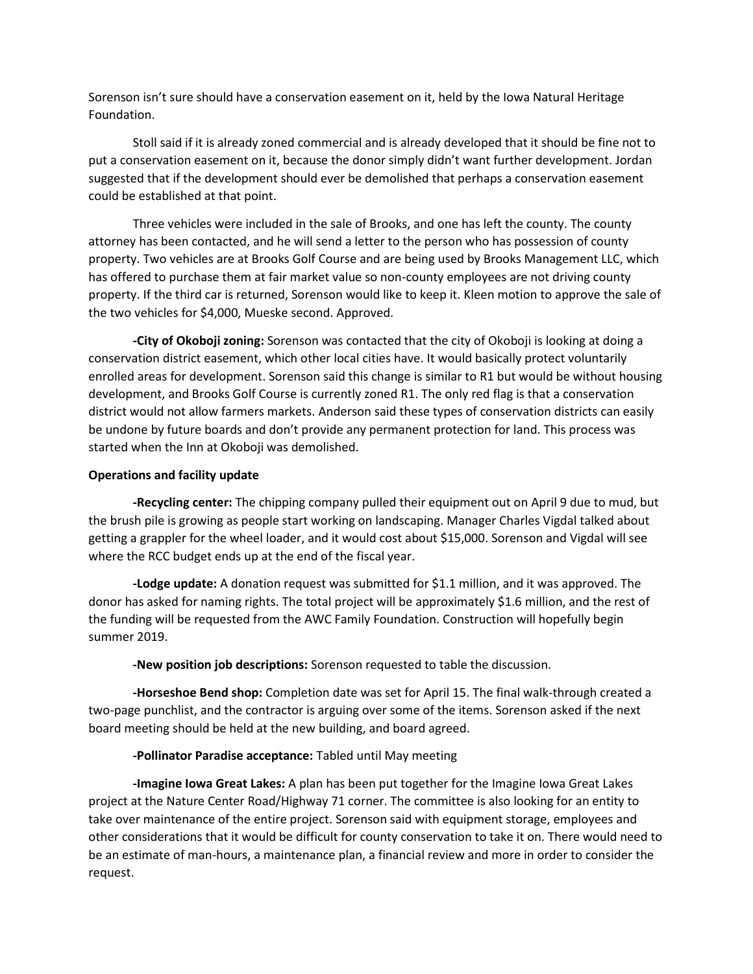Sorenson isn't sure should have a conservation easement on it, held by the Iowa Natural Heritage Foundation.

Stoll said if it is already zoned commercial and is already developed that it should be fine not to put a conservation easement on it, because the donor simply didn't want further development. Jordan suggested that if the development should ever be demolished that perhaps a conservation easement could be established at that point.

Three vehicles were included in the sale of Brooks, and one has left the county. The county attorney has been contacted, and he will send a letter to the person who has possession of county property. Two vehicles are at Brooks Golf Course and are being used by Brooks Management LLC, which has offered to purchase them at fair market value so non-county employees are not driving county property. If the third car is returned, Sorenson would like to keep it. Kleen motion to approve the sale of the two vehicles for \$4,000, Mueske second. Approved.

**-City of Okoboji zoning:** Sorenson was contacted that the city of Okoboji is looking at doing a conservation district easement, which other local cities have. It would basically protect voluntarily enrolled areas for development. Sorenson said this change is similar to R1 but would be without housing development, and Brooks Golf Course is currently zoned R1. The only red flag is that a conservation district would not allow farmers markets. Anderson said these types of conservation districts can easily be undone by future boards and don't provide any permanent protection for land. This process was started when the Inn at Okoboji was demolished.

## **Operations and facility update**

**-Recycling center:** The chipping company pulled their equipment out on April 9 due to mud, but the brush pile is growing as people start working on landscaping. Manager Charles Vigdal talked about getting a grappler for the wheel loader, and it would cost about \$15,000. Sorenson and Vigdal will see where the RCC budget ends up at the end of the fiscal year.

**-Lodge update:** A donation request was submitted for \$1.1 million, and it was approved. The donor has asked for naming rights. The total project will be approximately \$1.6 million, and the rest of the funding will be requested from the AWC Family Foundation. Construction will hopefully begin summer 2019.

**-New position job descriptions:** Sorenson requested to table the discussion.

**-Horseshoe Bend shop:** Completion date was set for April 15. The final walk-through created a two-page punchlist, and the contractor is arguing over some of the items. Sorenson asked if the next board meeting should be held at the new building, and board agreed.

# **-Pollinator Paradise acceptance:** Tabled until May meeting

**-Imagine Iowa Great Lakes:** A plan has been put together for the Imagine Iowa Great Lakes project at the Nature Center Road/Highway 71 corner. The committee is also looking for an entity to take over maintenance of the entire project. Sorenson said with equipment storage, employees and other considerations that it would be difficult for county conservation to take it on. There would need to be an estimate of man-hours, a maintenance plan, a financial review and more in order to consider the request.